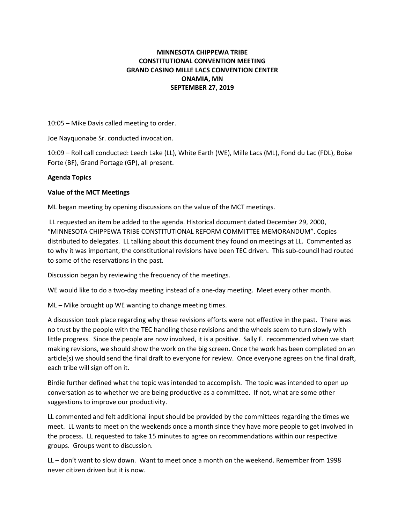# MINNESOTA CHIPPEWA TRIBE CONSTITUTIONAL CONVENTION MEETING GRAND CASINO MILLE LACS CONVENTION CENTER ONAMIA, MN SEPTEMBER 27, 2019

10:05 – Mike Davis called meeting to order.

Joe Nayquonabe Sr. conducted invocation.

10:09 – Roll call conducted: Leech Lake (LL), White Earth (WE), Mille Lacs (ML), Fond du Lac (FDL), Boise Forte (BF), Grand Portage (GP), all present.

## Agenda Topics

## Value of the MCT Meetings

ML began meeting by opening discussions on the value of the MCT meetings.

 LL requested an item be added to the agenda. Historical document dated December 29, 2000, "MINNESOTA CHIPPEWA TRIBE CONSTITUTIONAL REFORM COMMITTEE MEMORANDUM". Copies distributed to delegates. LL talking about this document they found on meetings at LL. Commented as to why it was important, the constitutional revisions have been TEC driven. This sub-council had routed to some of the reservations in the past.

Discussion began by reviewing the frequency of the meetings.

WE would like to do a two-day meeting instead of a one-day meeting. Meet every other month.

ML – Mike brought up WE wanting to change meeting times.

A discussion took place regarding why these revisions efforts were not effective in the past. There was no trust by the people with the TEC handling these revisions and the wheels seem to turn slowly with little progress. Since the people are now involved, it is a positive. Sally F. recommended when we start making revisions, we should show the work on the big screen. Once the work has been completed on an article(s) we should send the final draft to everyone for review. Once everyone agrees on the final draft, each tribe will sign off on it.

Birdie further defined what the topic was intended to accomplish. The topic was intended to open up conversation as to whether we are being productive as a committee. If not, what are some other suggestions to improve our productivity.

LL commented and felt additional input should be provided by the committees regarding the times we meet. LL wants to meet on the weekends once a month since they have more people to get involved in the process. LL requested to take 15 minutes to agree on recommendations within our respective groups. Groups went to discussion.

LL – don't want to slow down. Want to meet once a month on the weekend. Remember from 1998 never citizen driven but it is now.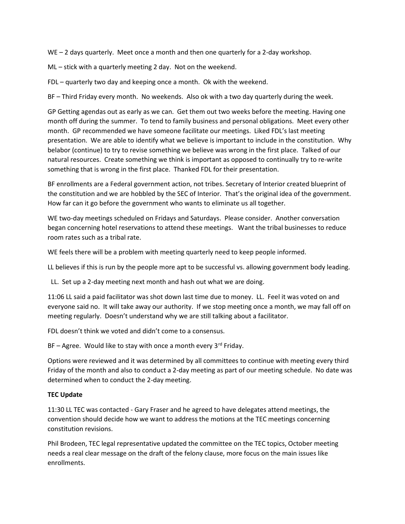WE – 2 days quarterly. Meet once a month and then one quarterly for a 2-day workshop.

ML – stick with a quarterly meeting 2 day. Not on the weekend.

FDL – quarterly two day and keeping once a month. Ok with the weekend.

BF – Third Friday every month. No weekends. Also ok with a two day quarterly during the week.

GP Getting agendas out as early as we can. Get them out two weeks before the meeting. Having one month off during the summer. To tend to family business and personal obligations. Meet every other month. GP recommended we have someone facilitate our meetings. Liked FDL's last meeting presentation. We are able to identify what we believe is important to include in the constitution. Why belabor (continue) to try to revise something we believe was wrong in the first place. Talked of our natural resources. Create something we think is important as opposed to continually try to re-write something that is wrong in the first place. Thanked FDL for their presentation.

BF enrollments are a Federal government action, not tribes. Secretary of Interior created blueprint of the constitution and we are hobbled by the SEC of Interior. That's the original idea of the government. How far can it go before the government who wants to eliminate us all together.

WE two-day meetings scheduled on Fridays and Saturdays. Please consider. Another conversation began concerning hotel reservations to attend these meetings. Want the tribal businesses to reduce room rates such as a tribal rate.

WE feels there will be a problem with meeting quarterly need to keep people informed.

LL believes if this is run by the people more apt to be successful vs. allowing government body leading.

LL. Set up a 2-day meeting next month and hash out what we are doing.

11:06 LL said a paid facilitator was shot down last time due to money. LL. Feel it was voted on and everyone said no. It will take away our authority. If we stop meeting once a month, we may fall off on meeting regularly. Doesn't understand why we are still talking about a facilitator.

FDL doesn't think we voted and didn't come to a consensus.

BF – Agree. Would like to stay with once a month every  $3^{rd}$  Friday.

Options were reviewed and it was determined by all committees to continue with meeting every third Friday of the month and also to conduct a 2-day meeting as part of our meeting schedule. No date was determined when to conduct the 2-day meeting.

### TEC Update

11:30 LL TEC was contacted - Gary Fraser and he agreed to have delegates attend meetings, the convention should decide how we want to address the motions at the TEC meetings concerning constitution revisions.

Phil Brodeen, TEC legal representative updated the committee on the TEC topics, October meeting needs a real clear message on the draft of the felony clause, more focus on the main issues like enrollments.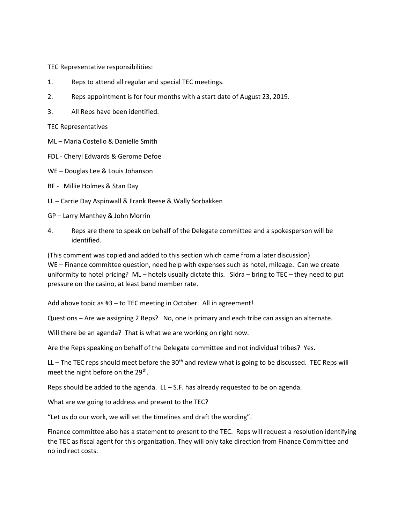TEC Representative responsibilities:

- 1. Reps to attend all regular and special TEC meetings.
- 2. Reps appointment is for four months with a start date of August 23, 2019.
- 3. All Reps have been identified.

TEC Representatives

- ML Maria Costello & Danielle Smith
- FDL Cheryl Edwards & Gerome Defoe
- WE Douglas Lee & Louis Johanson
- BF Millie Holmes & Stan Day
- LL Carrie Day Aspinwall & Frank Reese & Wally Sorbakken

GP – Larry Manthey & John Morrin

4. Reps are there to speak on behalf of the Delegate committee and a spokesperson will be identified.

(This comment was copied and added to this section which came from a later discussion) WE – Finance committee question, need help with expenses such as hotel, mileage. Can we create uniformity to hotel pricing? ML – hotels usually dictate this. Sidra – bring to TEC – they need to put pressure on the casino, at least band member rate.

Add above topic as #3 – to TEC meeting in October. All in agreement!

Questions – Are we assigning 2 Reps? No, one is primary and each tribe can assign an alternate.

Will there be an agenda? That is what we are working on right now.

Are the Reps speaking on behalf of the Delegate committee and not individual tribes? Yes.

LL – The TEC reps should meet before the  $30<sup>th</sup>$  and review what is going to be discussed. TEC Reps will meet the night before on the 29<sup>th</sup>.

Reps should be added to the agenda.  $LL - S.F.$  has already requested to be on agenda.

What are we going to address and present to the TEC?

"Let us do our work, we will set the timelines and draft the wording".

Finance committee also has a statement to present to the TEC. Reps will request a resolution identifying the TEC as fiscal agent for this organization. They will only take direction from Finance Committee and no indirect costs.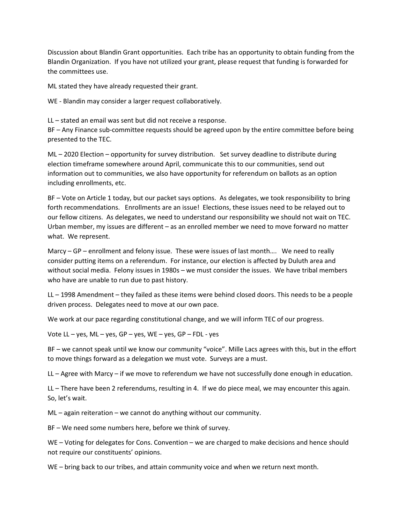Discussion about Blandin Grant opportunities. Each tribe has an opportunity to obtain funding from the Blandin Organization. If you have not utilized your grant, please request that funding is forwarded for the committees use.

ML stated they have already requested their grant.

WE - Blandin may consider a larger request collaboratively.

LL – stated an email was sent but did not receive a response.

BF – Any Finance sub-committee requests should be agreed upon by the entire committee before being presented to the TEC.

ML – 2020 Election – opportunity for survey distribution. Set survey deadline to distribute during election timeframe somewhere around April, communicate this to our communities, send out information out to communities, we also have opportunity for referendum on ballots as an option including enrollments, etc.

BF – Vote on Article 1 today, but our packet says options. As delegates, we took responsibility to bring forth recommendations. Enrollments are an issue! Elections, these issues need to be relayed out to our fellow citizens. As delegates, we need to understand our responsibility we should not wait on TEC. Urban member, my issues are different – as an enrolled member we need to move forward no matter what. We represent.

Marcy – GP – enrollment and felony issue. These were issues of last month…. We need to really consider putting items on a referendum. For instance, our election is affected by Duluth area and without social media. Felony issues in 1980s – we must consider the issues. We have tribal members who have are unable to run due to past history.

LL – 1998 Amendment – they failed as these items were behind closed doors. This needs to be a people driven process. Delegates need to move at our own pace.

We work at our pace regarding constitutional change, and we will inform TEC of our progress.

Vote LL – yes, ML – yes, GP – yes, WE – yes, GP – FDL - yes

BF – we cannot speak until we know our community "voice". Mille Lacs agrees with this, but in the effort to move things forward as a delegation we must vote. Surveys are a must.

LL – Agree with Marcy – if we move to referendum we have not successfully done enough in education.

LL – There have been 2 referendums, resulting in 4. If we do piece meal, we may encounter this again. So, let's wait.

ML – again reiteration – we cannot do anything without our community.

BF – We need some numbers here, before we think of survey.

WE – Voting for delegates for Cons. Convention – we are charged to make decisions and hence should not require our constituents' opinions.

WE – bring back to our tribes, and attain community voice and when we return next month.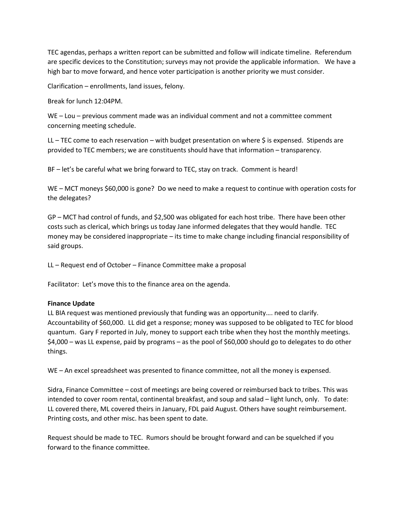TEC agendas, perhaps a written report can be submitted and follow will indicate timeline. Referendum are specific devices to the Constitution; surveys may not provide the applicable information. We have a high bar to move forward, and hence voter participation is another priority we must consider.

Clarification – enrollments, land issues, felony.

Break for lunch 12:04PM.

WE – Lou – previous comment made was an individual comment and not a committee comment concerning meeting schedule.

LL – TEC come to each reservation – with budget presentation on where  $\zeta$  is expensed. Stipends are provided to TEC members; we are constituents should have that information – transparency.

BF – let's be careful what we bring forward to TEC, stay on track. Comment is heard!

WE – MCT moneys \$60,000 is gone? Do we need to make a request to continue with operation costs for the delegates?

GP – MCT had control of funds, and \$2,500 was obligated for each host tribe. There have been other costs such as clerical, which brings us today Jane informed delegates that they would handle. TEC money may be considered inappropriate – its time to make change including financial responsibility of said groups.

LL – Request end of October – Finance Committee make a proposal

Facilitator: Let's move this to the finance area on the agenda.

### Finance Update

LL BIA request was mentioned previously that funding was an opportunity…. need to clarify. Accountability of \$60,000. LL did get a response; money was supposed to be obligated to TEC for blood quantum. Gary F reported in July, money to support each tribe when they host the monthly meetings. \$4,000 – was LL expense, paid by programs – as the pool of \$60,000 should go to delegates to do other things.

WE – An excel spreadsheet was presented to finance committee, not all the money is expensed.

Sidra, Finance Committee – cost of meetings are being covered or reimbursed back to tribes. This was intended to cover room rental, continental breakfast, and soup and salad – light lunch, only. To date: LL covered there, ML covered theirs in January, FDL paid August. Others have sought reimbursement. Printing costs, and other misc. has been spent to date.

Request should be made to TEC. Rumors should be brought forward and can be squelched if you forward to the finance committee.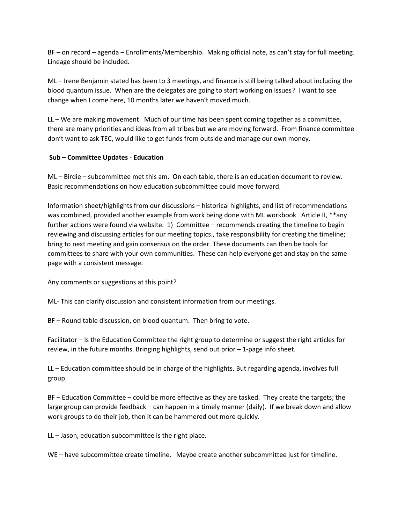BF – on record – agenda – Enrollments/Membership. Making official note, as can't stay for full meeting. Lineage should be included.

ML – Irene Benjamin stated has been to 3 meetings, and finance is still being talked about including the blood quantum issue. When are the delegates are going to start working on issues? I want to see change when I come here, 10 months later we haven't moved much.

LL – We are making movement. Much of our time has been spent coming together as a committee, there are many priorities and ideas from all tribes but we are moving forward. From finance committee don't want to ask TEC, would like to get funds from outside and manage our own money.

### Sub – Committee Updates - Education

ML – Birdie – subcommittee met this am. On each table, there is an education document to review. Basic recommendations on how education subcommittee could move forward.

Information sheet/highlights from our discussions – historical highlights, and list of recommendations was combined, provided another example from work being done with ML workbook Article II, \*\*any further actions were found via website. 1) Committee – recommends creating the timeline to begin reviewing and discussing articles for our meeting topics., take responsibility for creating the timeline; bring to next meeting and gain consensus on the order. These documents can then be tools for committees to share with your own communities. These can help everyone get and stay on the same page with a consistent message.

Any comments or suggestions at this point?

ML- This can clarify discussion and consistent information from our meetings.

BF – Round table discussion, on blood quantum. Then bring to vote.

Facilitator – Is the Education Committee the right group to determine or suggest the right articles for review, in the future months. Bringing highlights, send out prior  $-1$ -page info sheet.

LL – Education committee should be in charge of the highlights. But regarding agenda, involves full group.

BF – Education Committee – could be more effective as they are tasked. They create the targets; the large group can provide feedback – can happen in a timely manner (daily). If we break down and allow work groups to do their job, then it can be hammered out more quickly.

LL – Jason, education subcommittee is the right place.

WE – have subcommittee create timeline. Maybe create another subcommittee just for timeline.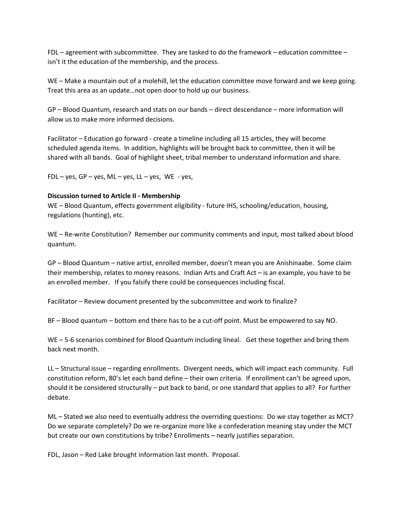FDL – agreement with subcommittee. They are tasked to do the framework – education committee – isn't it the education of the membership, and the process.

WE – Make a mountain out of a molehill, let the education committee move forward and we keep going. Treat this area as an update…not open door to hold up our business.

GP – Blood Quantum, research and stats on our bands – direct descendance – more information will allow us to make more informed decisions.

Facilitator – Education go forward - create a timeline including all 15 articles, they will become scheduled agenda items. In addition, highlights will be brought back to committee, then it will be shared with all bands. Goal of highlight sheet, tribal member to understand information and share.

FDL – yes, GP – yes, ML – yes, LL – yes, WE - yes,

#### Discussion turned to Article II - Membership

WE – Blood Quantum, effects government eligibility - future IHS, schooling/education, housing, regulations (hunting), etc.

WE – Re-write Constitution? Remember our community comments and input, most talked about blood quantum.

GP – Blood Quantum – native artist, enrolled member, doesn't mean you are Anishinaabe. Some claim their membership, relates to money reasons. Indian Arts and Craft Act – is an example, you have to be an enrolled member. If you falsify there could be consequences including fiscal.

Facilitator – Review document presented by the subcommittee and work to finalize?

BF – Blood quantum – bottom end there has to be a cut-off point. Must be empowered to say NO.

WE – 5-6 scenarios combined for Blood Quantum including lineal. Get these together and bring them back next month.

LL – Structural issue – regarding enrollments. Divergent needs, which will impact each community. Full constitution reform, 80's let each band define – their own criteria. If enrollment can't be agreed upon, should it be considered structurally – put back to band, or one standard that applies to all? For further debate.

ML – Stated we also need to eventually address the overriding questions: Do we stay together as MCT? Do we separate completely? Do we re-organize more like a confederation meaning stay under the MCT but create our own constitutions by tribe? Enrollments – nearly justifies separation.

FDL, Jason – Red Lake brought information last month. Proposal.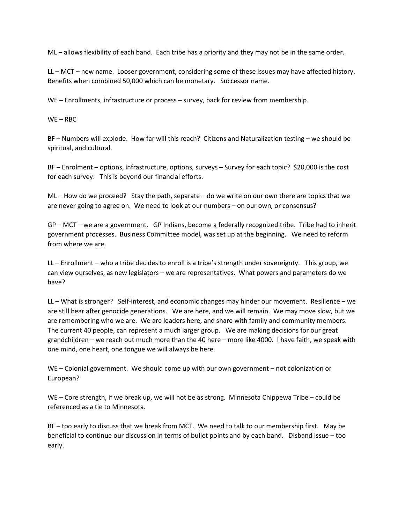ML – allows flexibility of each band. Each tribe has a priority and they may not be in the same order.

LL – MCT – new name. Looser government, considering some of these issues may have affected history. Benefits when combined 50,000 which can be monetary. Successor name.

WE – Enrollments, infrastructure or process – survey, back for review from membership.

 $WE - RBC$ 

BF – Numbers will explode. How far will this reach? Citizens and Naturalization testing – we should be spiritual, and cultural.

BF – Enrolment – options, infrastructure, options, surveys – Survey for each topic? \$20,000 is the cost for each survey. This is beyond our financial efforts.

ML – How do we proceed? Stay the path, separate – do we write on our own there are topics that we are never going to agree on. We need to look at our numbers – on our own, or consensus?

GP – MCT – we are a government. GP Indians, become a federally recognized tribe. Tribe had to inherit government processes. Business Committee model, was set up at the beginning. We need to reform from where we are.

LL – Enrollment – who a tribe decides to enroll is a tribe's strength under sovereignty. This group, we can view ourselves, as new legislators – we are representatives. What powers and parameters do we have?

LL – What is stronger? Self-interest, and economic changes may hinder our movement. Resilience – we are still hear after genocide generations. We are here, and we will remain. We may move slow, but we are remembering who we are. We are leaders here, and share with family and community members. The current 40 people, can represent a much larger group. We are making decisions for our great grandchildren – we reach out much more than the 40 here – more like 4000. I have faith, we speak with one mind, one heart, one tongue we will always be here.

WE – Colonial government. We should come up with our own government – not colonization or European?

WE – Core strength, if we break up, we will not be as strong. Minnesota Chippewa Tribe – could be referenced as a tie to Minnesota.

BF – too early to discuss that we break from MCT. We need to talk to our membership first. May be beneficial to continue our discussion in terms of bullet points and by each band. Disband issue – too early.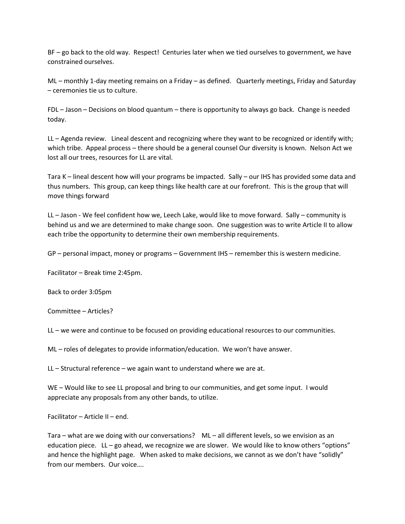BF – go back to the old way. Respect! Centuries later when we tied ourselves to government, we have constrained ourselves.

ML – monthly 1-day meeting remains on a Friday – as defined. Quarterly meetings, Friday and Saturday – ceremonies tie us to culture.

FDL – Jason – Decisions on blood quantum – there is opportunity to always go back. Change is needed today.

LL – Agenda review. Lineal descent and recognizing where they want to be recognized or identify with; which tribe. Appeal process – there should be a general counsel Our diversity is known. Nelson Act we lost all our trees, resources for LL are vital.

Tara K – lineal descent how will your programs be impacted. Sally – our IHS has provided some data and thus numbers. This group, can keep things like health care at our forefront. This is the group that will move things forward

LL – Jason - We feel confident how we, Leech Lake, would like to move forward. Sally – community is behind us and we are determined to make change soon. One suggestion was to write Article II to allow each tribe the opportunity to determine their own membership requirements.

GP – personal impact, money or programs – Government IHS – remember this is western medicine.

Facilitator – Break time 2:45pm.

Back to order 3:05pm

Committee – Articles?

LL – we were and continue to be focused on providing educational resources to our communities.

ML – roles of delegates to provide information/education. We won't have answer.

LL – Structural reference – we again want to understand where we are at.

WE – Would like to see LL proposal and bring to our communities, and get some input. I would appreciate any proposals from any other bands, to utilize.

Facilitator – Article II – end.

Tara – what are we doing with our conversations? ML – all different levels, so we envision as an education piece. LL – go ahead, we recognize we are slower. We would like to know others "options" and hence the highlight page. When asked to make decisions, we cannot as we don't have "solidly" from our members. Our voice….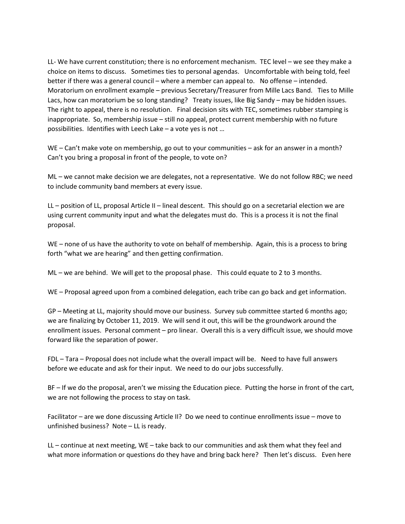LL- We have current constitution; there is no enforcement mechanism. TEC level – we see they make a choice on items to discuss. Sometimes ties to personal agendas. Uncomfortable with being told, feel better if there was a general council – where a member can appeal to. No offense – intended. Moratorium on enrollment example – previous Secretary/Treasurer from Mille Lacs Band. Ties to Mille Lacs, how can moratorium be so long standing? Treaty issues, like Big Sandy – may be hidden issues. The right to appeal, there is no resolution. Final decision sits with TEC, sometimes rubber stamping is inappropriate. So, membership issue – still no appeal, protect current membership with no future possibilities. Identifies with Leech Lake – a vote yes is not …

WE – Can't make vote on membership, go out to your communities – ask for an answer in a month? Can't you bring a proposal in front of the people, to vote on?

ML – we cannot make decision we are delegates, not a representative. We do not follow RBC; we need to include community band members at every issue.

LL – position of LL, proposal Article II – lineal descent. This should go on a secretarial election we are using current community input and what the delegates must do. This is a process it is not the final proposal.

WE – none of us have the authority to vote on behalf of membership. Again, this is a process to bring forth "what we are hearing" and then getting confirmation.

ML – we are behind. We will get to the proposal phase. This could equate to 2 to 3 months.

WE – Proposal agreed upon from a combined delegation, each tribe can go back and get information.

GP – Meeting at LL, majority should move our business. Survey sub committee started 6 months ago; we are finalizing by October 11, 2019. We will send it out, this will be the groundwork around the enrollment issues. Personal comment – pro linear. Overall this is a very difficult issue, we should move forward like the separation of power.

FDL – Tara – Proposal does not include what the overall impact will be. Need to have full answers before we educate and ask for their input. We need to do our jobs successfully.

BF – If we do the proposal, aren't we missing the Education piece. Putting the horse in front of the cart, we are not following the process to stay on task.

Facilitator – are we done discussing Article II? Do we need to continue enrollments issue – move to unfinished business? Note – LL is ready.

LL – continue at next meeting, WE – take back to our communities and ask them what they feel and what more information or questions do they have and bring back here? Then let's discuss. Even here